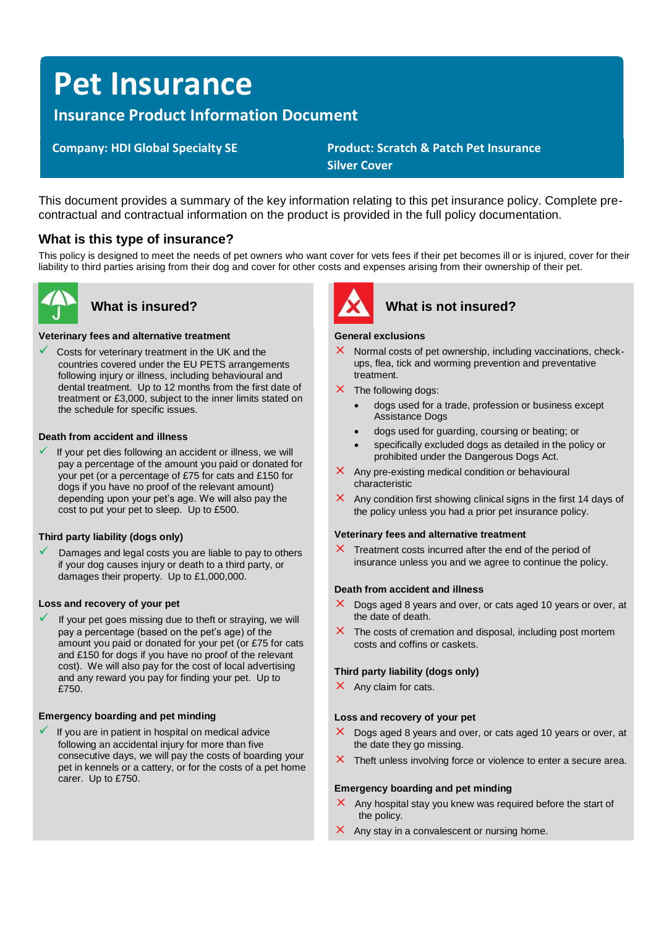# **Pet Insurance**

## **Insurance Product Information Document**

 **Company: HDI Global Specialty SE Product: Scratch & Patch Pet Insurance Silver Cover**

This document provides a summary of the key information relating to this pet insurance policy. Complete precontractual and contractual information on the product is provided in the full policy documentation.

### **What is this type of insurance?**

This policy is designed to meet the needs of pet owners who want cover for vets fees if their pet becomes ill or is injured, cover for their liability to third parties arising from their dog and cover for other costs and expenses arising from their ownership of their pet.



#### **Veterinary fees and alternative treatment**

Costs for veterinary treatment in the UK and the countries covered under the EU PETS arrangements following injury or illness, including behavioural and dental treatment. Up to 12 months from the first date of treatment or £3,000, subject to the inner limits stated on the schedule for specific issues.

#### **Death from accident and illness**

If your pet dies following an accident or illness, we will pay a percentage of the amount you paid or donated for your pet (or a percentage of £75 for cats and £150 for dogs if you have no proof of the relevant amount) depending upon your pet's age. We will also pay the cost to put your pet to sleep. Up to £500.

#### **Third party liability (dogs only)**

Damages and legal costs you are liable to pay to others if your dog causes injury or death to a third party, or damages their property. Up to £1,000,000.

#### **Loss and recovery of your pet**

If your pet goes missing due to theft or straying, we will pay a percentage (based on the pet's age) of the amount you paid or donated for your pet (or £75 for cats and £150 for dogs if you have no proof of the relevant cost). We will also pay for the cost of local advertising and any reward you pay for finding your pet. Up to £750

#### **Emergency boarding and pet minding**

If you are in patient in hospital on medical advice following an accidental injury for more than five consecutive days, we will pay the costs of boarding your pet in kennels or a cattery, or for the costs of a pet home carer. Up to £750.



## **What is insured? What is not insured?**

#### **General exclusions**

- $\times$  Normal costs of pet ownership, including vaccinations, checkups, flea, tick and worming prevention and preventative treatment.
- $\times$  The following dogs:
	- dogs used for a trade, profession or business except Assistance Dogs
	- dogs used for guarding, coursing or beating; or
	- specifically excluded dogs as detailed in the policy or prohibited under the Dangerous Dogs Act.
- $\times$  Any pre-existing medical condition or behavioural characteristic
- $\times$  Any condition first showing clinical signs in the first 14 days of the policy unless you had a prior pet insurance policy.

#### **Veterinary fees and alternative treatment**

 $\times$  Treatment costs incurred after the end of the period of insurance unless you and we agree to continue the policy.

#### **Death from accident and illness**

- $\times$  Dogs aged 8 years and over, or cats aged 10 years or over, at the date of death.
- $\times$  The costs of cremation and disposal, including post mortem costs and coffins or caskets.

#### **Third party liability (dogs only)**

 $\times$  Any claim for cats.

#### **Loss and recovery of your pet**

- $\times$  Dogs aged 8 years and over, or cats aged 10 years or over, at the date they go missing.
- $\times$  Theft unless involving force or violence to enter a secure area.

#### **Emergency boarding and pet minding**

- $\times$  Any hospital stay you knew was required before the start of the policy.
- $\times$  Any stay in a convalescent or nursing home.